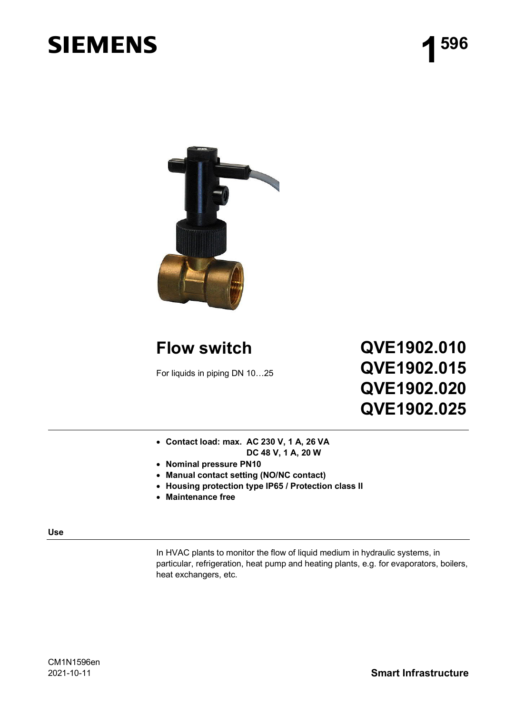# **SIEMENS**



### **Flow switch**

For liquids in piping DN 10…25

## **QVE1902.010 QVE1902.015 QVE1902.020 QVE1902.025**

- **Contact load: max. AC 230 V, 1 A, 26 VA DC 48 V, 1 A, 20 W**
- **Nominal pressure PN10**
- **Manual contact setting (NO/NC contact)**
- **Housing protection type IP65 / Protection class II**
- **Maintenance free**

**Use**

In HVAC plants to monitor the flow of liquid medium in hydraulic systems, in particular, refrigeration, heat pump and heating plants, e.g. for evaporators, boilers, heat exchangers, etc.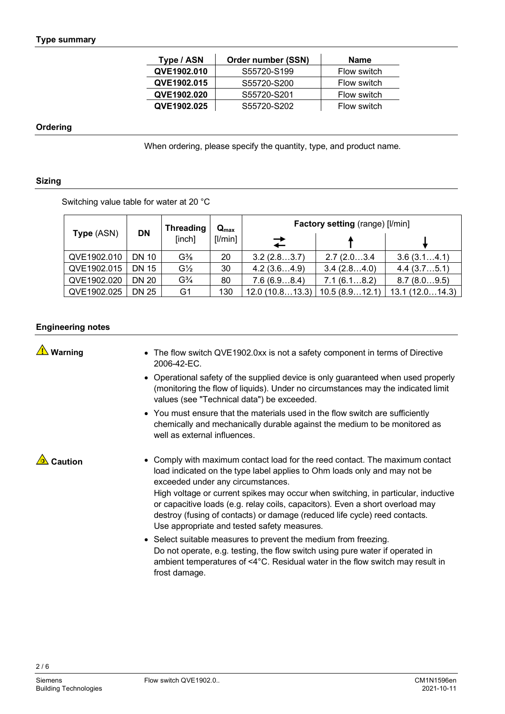| Type / ASN  | Order number (SSN) | Name        |
|-------------|--------------------|-------------|
| QVE1902.010 | S55720-S199        | Flow switch |
| QVE1902.015 | S55720-S200        | Flow switch |
| QVE1902.020 | S55720-S201        | Flow switch |
| QVE1902.025 | S55720-S202        | Flow switch |

#### **Ordering**

When ordering, please specify the quantity, type, and product name.

#### **Sizing**

Switching value table for water at 20 °C

|             |                                   | <b>Threading</b>              | $\mathbf{Q}_{\text{max}}$ | <b>Factory setting (range) [I/min]</b> |               |                |  |  |
|-------------|-----------------------------------|-------------------------------|---------------------------|----------------------------------------|---------------|----------------|--|--|
|             | <b>DN</b><br>Type (ASN)<br>[inch] |                               | [1/min]                   | $\overrightarrow{+}$                   |               |                |  |  |
| QVE1902.010 | DN 10                             | $G\%$                         | 20                        | 3.2(2.83.7)                            | 2.7(2.03.4)   | 3.6(3.14.1)    |  |  |
| QVE1902.015 | <b>DN 15</b>                      | $G\frac{1}{2}$                | 30                        | 4.2(3.64.9)                            | 3.4(2.84.0)   | 4.4(3.75.1)    |  |  |
| QVE1902.020 | <b>DN 20</b>                      | G <sup>3</sup> / <sub>4</sub> | 80                        | 7.6(6.98.4)                            | 7.1(6.18.2)   | 8.7(8.09.5)    |  |  |
| QVE1902.025 | DN 25                             | G1                            | 130                       | 12.0(10.813.3)                         | 10.5(8.912.1) | 13.1(12.014.3) |  |  |

#### **Engineering notes**

|  |  | <b>△</b> Warning |
|--|--|------------------|
|--|--|------------------|

- The flow switch QVE1902.0xx is not a safety component in terms of Directive 2006-42-EC.
- Operational safety of the supplied device is only guaranteed when used properly (monitoring the flow of liquids). Under no circumstances may the indicated limit values (see "Technical data") be exceeded.
- You must ensure that the materials used in the flow switch are sufficiently chemically and mechanically durable against the medium to be monitored as well as external influences.

### **Caution**

- Comply with maximum contact load for the reed contact. The maximum contact load indicated on the type label applies to Ohm loads only and may not be exceeded under any circumstances. High voltage or current spikes may occur when switching, in particular, inductive or capacitive loads (e.g. relay coils, capacitors). Even a short overload may destroy (fusing of contacts) or damage (reduced life cycle) reed contacts. Use appropriate and tested safety measures.
- Select suitable measures to prevent the medium from freezing. Do not operate, e.g. testing, the flow switch using pure water if operated in ambient temperatures of <4°C. Residual water in the flow switch may result in frost damage.

 $2/6$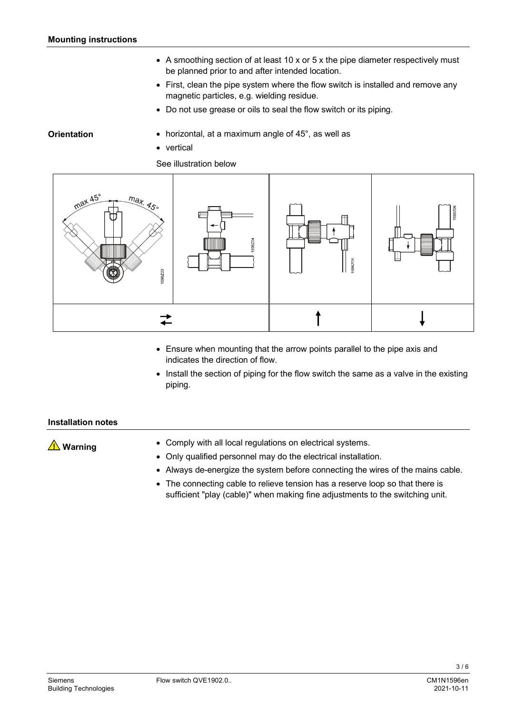- A smoothing section of at least 10 x or 5 x the pipe diameter respectively must be planned prior to and after intended location.
- First, clean the pipe system where the flow switch is installed and remove any magnetic particles, e.g. wielding residue.
- Do not use grease or oils to seal the flow switch or its piping.

horizontal, at a maximum angle of 45°, as well as

#### **Orientation**

• vertical

See illustration below



- Ensure when mounting that the arrow points parallel to the pipe axis and indicates the direction of flow.
- Install the section of piping for the flow switch the same as a valve in the existing piping.

#### **Installation notes**

**<u></u>***A* Warning

- Comply with all local regulations on electrical systems.
- Only qualified personnel may do the electrical installation.
- Always de-energize the system before connecting the wires of the mains cable.
- The connecting cable to relieve tension has a reserve loop so that there is sufficient "play (cable)" when making fine adjustments to the switching unit.

 $3/6$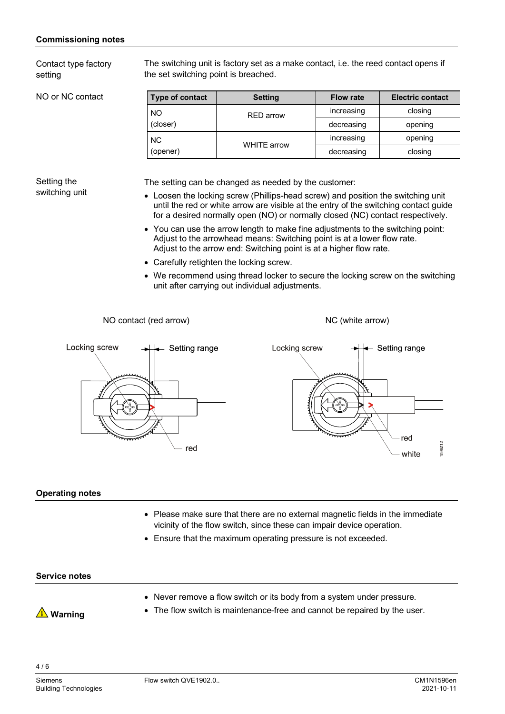#### **Commissioning notes**

Contact type factory setting

NO or NC contact

The switching unit is factory set as a make contact, i.e. the reed contact opens if the set switching point is breached.

| Type of contact | <b>Setting</b>     |            | <b>Electric contact</b> |  |
|-----------------|--------------------|------------|-------------------------|--|
| NO              | <b>RED</b> arrow   | increasing | closing                 |  |
| (closer)        |                    | decreasing | opening                 |  |
| NC.             |                    | increasing | opening                 |  |
| (opener)        | <b>WHITE arrow</b> | decreasing | closing                 |  |

#### Setting the switching unit

The setting can be changed as needed by the customer:

- Loosen the locking screw (Phillips-head screw) and position the switching unit until the red or white arrow are visible at the entry of the switching contact guide for a desired normally open (NO) or normally closed (NC) contact respectively.
- You can use the arrow length to make fine adjustments to the switching point: Adjust to the arrowhead means: Switching point is at a lower flow rate. Adjust to the arrow end: Switching point is at a higher flow rate.
- Carefully retighten the locking screw.
- We recommend using thread locker to secure the locking screw on the switching unit after carrying out individual adjustments.

NO contact (red arrow) NO (white arrow)



#### **Operating notes**

- Please make sure that there are no external magnetic fields in the immediate vicinity of the flow switch, since these can impair device operation.
- Ensure that the maximum operating pressure is not exceeded.

#### **Service notes**

- **<u>A</u>** Warning
- Never remove a flow switch or its body from a system under pressure.
- The flow switch is maintenance-free and cannot be repaired by the user.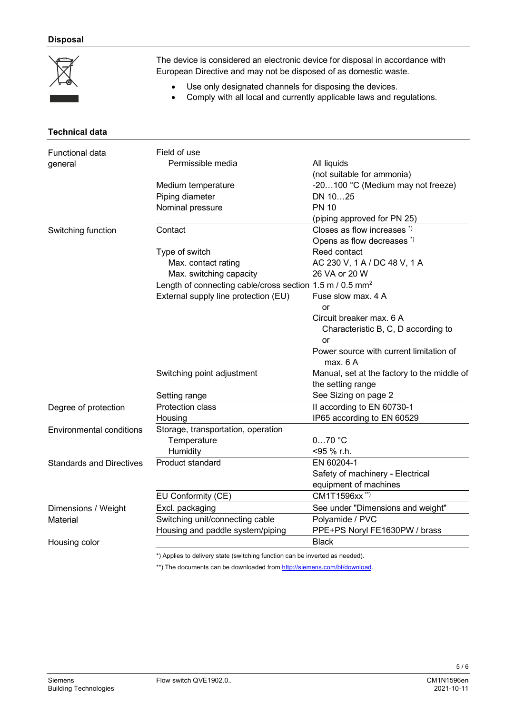#### **Disposal**

| $\boxtimes$ | The device is considered an electronic device for disposal in accordance with<br>European Directive and may not be disposed of as domestic waste. |
|-------------|---------------------------------------------------------------------------------------------------------------------------------------------------|
|             | Use only designated channels for disposing the devices.<br>Comply with all local and currently applicable laws and regulations.                   |

| <b>Technical data</b>           |                                                                      |                                             |
|---------------------------------|----------------------------------------------------------------------|---------------------------------------------|
| <b>Functional data</b>          | Field of use                                                         |                                             |
| general                         | Permissible media                                                    | All liquids                                 |
|                                 |                                                                      | (not suitable for ammonia)                  |
|                                 | Medium temperature                                                   | -20100 °C (Medium may not freeze)           |
|                                 | Piping diameter                                                      | DN 1025                                     |
|                                 | Nominal pressure                                                     | <b>PN 10</b>                                |
|                                 |                                                                      | (piping approved for PN 25)                 |
| Switching function              | Contact                                                              | Closes as flow increases *)                 |
|                                 |                                                                      | Opens as flow decreases *)                  |
|                                 | Type of switch                                                       | Reed contact                                |
|                                 | Max. contact rating                                                  | AC 230 V, 1 A / DC 48 V, 1 A                |
|                                 | Max. switching capacity                                              | 26 VA or 20 W                               |
|                                 | Length of connecting cable/cross section 1.5 m / 0.5 mm <sup>2</sup> |                                             |
|                                 | External supply line protection (EU)                                 | Fuse slow max. 4 A                          |
|                                 |                                                                      | or                                          |
|                                 |                                                                      | Circuit breaker max. 6 A                    |
|                                 |                                                                      | Characteristic B, C, D according to         |
|                                 |                                                                      | or                                          |
|                                 |                                                                      | Power source with current limitation of     |
|                                 |                                                                      | max. 6 A                                    |
|                                 | Switching point adjustment                                           | Manual, set at the factory to the middle of |
|                                 |                                                                      | the setting range                           |
|                                 | Setting range                                                        | See Sizing on page 2                        |
| Degree of protection            | Protection class                                                     | II according to EN 60730-1                  |
|                                 | Housing                                                              | IP65 according to EN 60529                  |
| <b>Environmental conditions</b> | Storage, transportation, operation                                   |                                             |
|                                 | Temperature                                                          | $070$ °C                                    |
|                                 | Humidity                                                             | <95 % r.h.                                  |
| <b>Standards and Directives</b> | Product standard                                                     | EN 60204-1                                  |
|                                 |                                                                      | Safety of machinery - Electrical            |
|                                 |                                                                      | equipment of machines                       |
|                                 | EU Conformity (CE)                                                   | CM1T1596xx <sup>**)</sup>                   |
| Dimensions / Weight             | Excl. packaging                                                      | See under "Dimensions and weight"           |
| Material                        | Switching unit/connecting cable                                      | Polyamide / PVC                             |
|                                 | Housing and paddle system/piping                                     | PPE+PS Noryl FE1630PW / brass               |
| Housing color                   |                                                                      | <b>Black</b>                                |
|                                 |                                                                      |                                             |

\*) Applies to delivery state (switching function can be inverted as needed).

\*\*) The documents can be downloaded from http://siemens.com/bt/download.